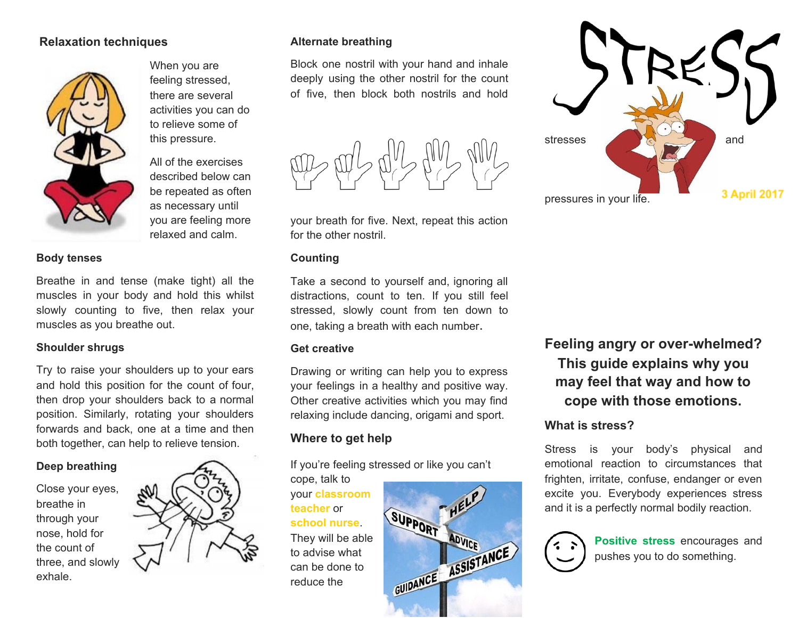## **Relaxation techniques**



When you are feeling stressed, there are several activities you can do to relieve some of this pressure.

All of the exercises described below can be repeated as often as necessary until you are feeling more relaxed and calm.

#### **Body tenses**

Breathe in and tense (make tight) all the muscles in your body and hold this whilst slowly counting to five, then relax your muscles as you breathe out.

### **Shoulder shrugs**

Try to raise your shoulders up to your ears and hold this position for the count of four, then drop your shoulders back to a normal position. Similarly, rotating your shoulders forwards and back, one at a time and then both together, can help to relieve tension.

### **Deep breathing**

Close your eyes, breathe in through your nose, hold for the count of three, and slowly exhale.



### **Alternate breathing**

Block one nostril with your hand and inhale deeply using the other nostril for the count of five, then block both nostrils and hold



your breath for five. Next, repeat this action for the other nostril.

#### **Counting**

Take a second to yourself and, ignoring all distractions, count to ten. If you still feel stressed, slowly count from ten down to one, taking a breath with each number.

#### **Get creative**

Drawing or writing can help you to express your feelings in a healthy and positive way. Other creative activities which you may find relaxing include dancing, origami and sport.

# **Where to get help**

If you're feeling stressed or like you can't

cope, talk to your **classroom teacher** or **school nurse**. They will be able to advise what can be done to reduce the





**Feeling angry or over-whelmed? This guide explains why you may feel that way and how to cope with those emotions.**

# **What is stress?**

Stress is your body's physical and emotional reaction to circumstances that frighten, irritate, confuse, endanger or even excite you. Everybody experiences stress and it is a perfectly normal bodily reaction.



**Positive stress** encourages and pushes you to do something.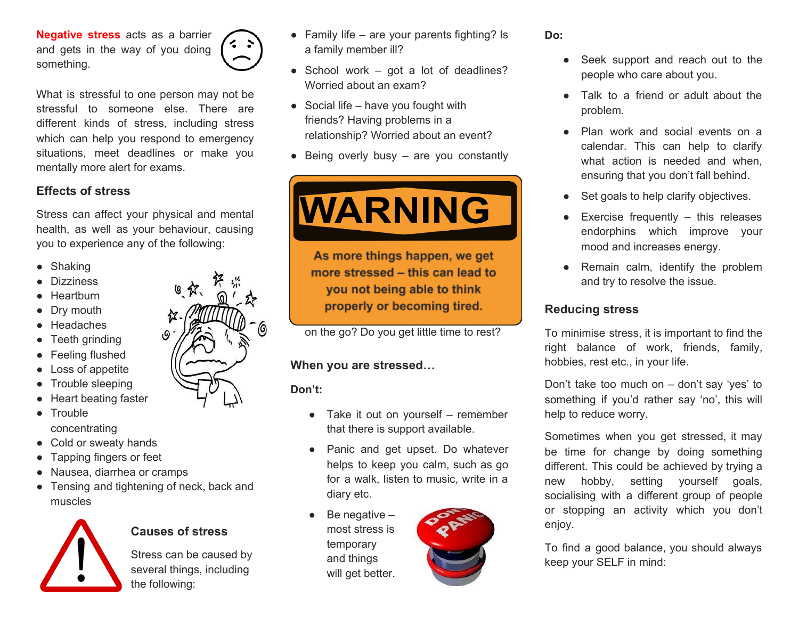**Negative stress** acts as a barrier and gets in the way of you doing something.



What is stressful to one person may not be stressful to someone else. There are different kinds of stress, including stress which can help you respond to emergency situations, meet deadlines or make you mentally more alert for exams.

# **Effects of stress**

Stress can affect your physical and mental health, as well as your behaviour, causing you to experience any of the following:

- Shaking
- **Dizziness**
- Heartburn
- Dry mouth
- Headaches
- Teeth grinding
- Feeling flushed
- Loss of appetite
- Trouble sleeping
- Heart beating faster
- Trouble concentrating
- Cold or sweaty hands
- Tapping fingers or feet
- Nausea, diarrhea or cramps
- Tensing and tightening of neck, back and muscles



# **Causes of stress**

Stress can be caused by several things, including the following:

- $\bullet$  Family life are your parents fighting? Is a family member ill?
- $\bullet$  School work got a lot of deadlines? Worried about an exam?
- $\bullet$  Social life have you fought with friends? Having problems in a relationship? Worried about an event?
- $\bullet$  Being overly busy are you constantly



As more things happen, we get more stressed - this can lead to you not being able to think properly or becoming tired.

on the go? Do you get little time to rest?

## **When you are stressed…**

**Don't:**

- $\bullet$  Take it out on yourself remember that there is support available.
- Panic and get upset. Do whatever helps to keep you calm, such as go for a walk, listen to music, write in a diary etc.
- Be negative  $$ most stress is temporary and things will get better.



### **Do:**

- Seek support and reach out to the people who care about you.
- Talk to a friend or adult about the problem.
- Plan work and social events on a calendar. This can help to clarify what action is needed and when. ensuring that you don't fall behind.
- Set goals to help clarify objectives.
- $\bullet$  Exercise frequently  $-$  this releases endorphins which improve your mood and increases energy.
- Remain calm, identify the problem and try to resolve the issue.

## **Reducing stress**

To minimise stress, it is important to find the right balance of work, friends, family, hobbies, rest etc., in your life.

Don't take too much on – don't say 'yes' to something if you'd rather say 'no', this will help to reduce worry.

Sometimes when you get stressed, it may be time for change by doing something different. This could be achieved by trying a new hobby, setting yourself goals, socialising with a different group of people or stopping an activity which you don't enjoy.

To find a good balance, you should always keep your SELF in mind: